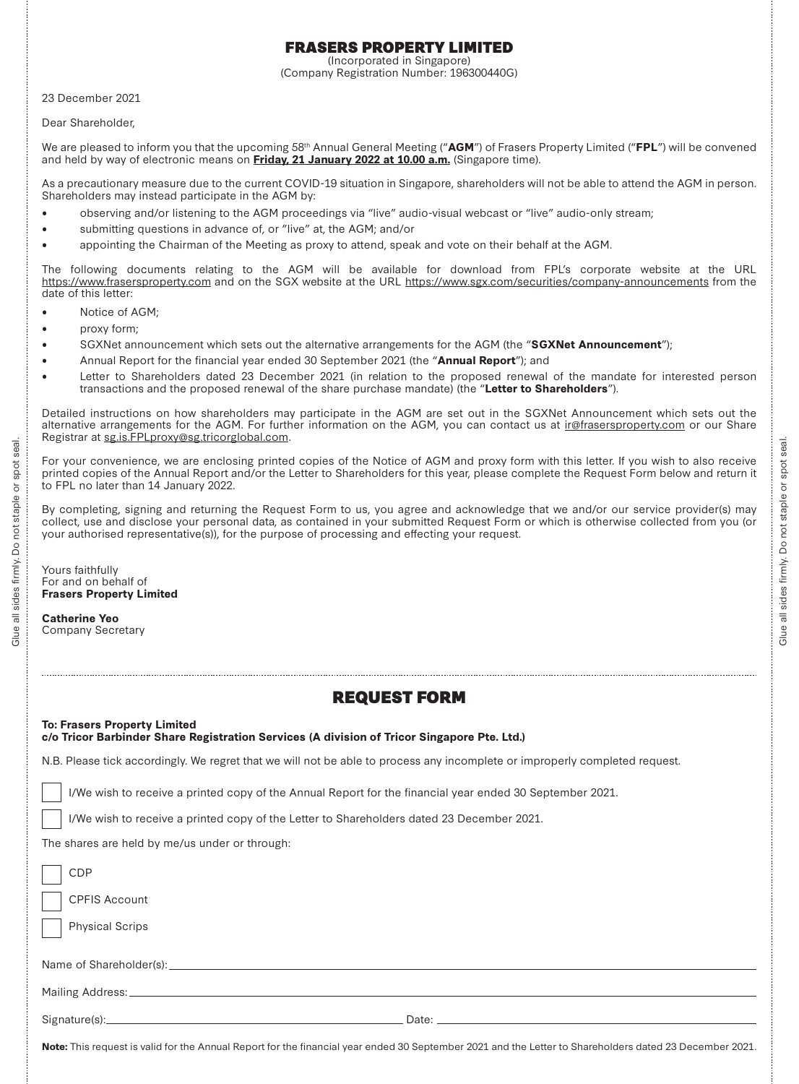## FRASERS PROPERTY LIMITED

(Incorporated in Singapore) (Company Registration Number: 196300440G)

23 December 2021

Dear Shareholder,

We are pleased to inform you that the upcoming 58th Annual General Meeting ("**AGM**") of Frasers Property Limited ("**FPL**") will be convened and held by way of electronic means on **Friday, 21 January 2022 at 10.00 a.m.** (Singapore time).

As a precautionary measure due to the current COVID-19 situation in Singapore, shareholders will not be able to attend the AGM in person. Shareholders may instead participate in the AGM by:

- •observing and/or listening to the AGM proceedings via "live" audio-visual webcast or "live" audio-only stream;
- •submitting questions in advance of, or "live" at, the AGM; and/or
- •appointing the Chairman of the Meeting as proxy to attend, speak and vote on their behalf at the AGM.

The following documents relating to the AGM will be available for download from FPL's corporate website at the URL https://www.frasersproperty.com and on the SGX website at the URL https://www.sgx.com/securities/company-announcements from the date of this letter:

- •Notice of AGM;
- •proxy form;
- •SGXNet announcement which sets out the alternative arrangements for the AGM (the "**SGXNet Announcement**");
- •Annual Report for the financial year ended 30 September 2021 (the "**Annual Report**"); and
- • Letter to Shareholders dated 23 December 2021 (in relation to the proposed renewal of the mandate for interested person transactions and the proposed renewal of the share purchase mandate) (the "**Letter to Shareholders**").

Detailed instructions on how shareholders may participate in the AGM are set out in the SGXNet Announcement which sets out the alternative arrangements for the AGM. For further information on the AGM, you can contact us at ir@frasersproperty.com or our Share Registrar at sg.is.FPLproxy@sg.tricorglobal.com.

For your convenience, we are enclosing printed copies of the Notice of AGM and proxy form with this letter. If you wish to also receive printed copies of the Annual Report and/or the Letter to Shareholders for this year, please complete the Request Form below and return it to FPL no later than 14 January 2022.

By completing, signing and returning the Request Form to us, you agree and acknowledge that we and/or our service provider(s) may collect, use and disclose your personal data, as contained in your submitted Request Form or which is otherwise collected from you (or your authorised representative(s)), for the purpose of processing and effecting your request.

Yours faithfully For and on behalf of**Frasers Property Limited**

**Catherine Yeo**Company Secretary

Glue all sides firmly. Do not staple or spot seal.

 $\mathsf{S}^{\mathsf{O}}$ firmly. sides  $\overline{\overline{5}}$ Gluea

not staple

seal.

spot  $\overleftarrow{\mathrm{o}}$ 

## **To: Frasers Property Limited**

|  |  | c/o Tricor Barbinder Share Registration Services (A division of Tricor Singapore Pte. Ltd.) |  |  |  |  |
|--|--|---------------------------------------------------------------------------------------------|--|--|--|--|
|  |  |                                                                                             |  |  |  |  |

N.B. Please tick accordingly. We regret that we will not be able to process any incomplete or improperly completed request.

I/We wish to receive a printed copy of the Annual Report for the financial year ended 30 September 2021.

I/We wish to receive a printed copy of the Letter to Shareholders dated 23 December 2021.

The shares are held by me/us under or through:

| <b>CDP</b>             |  |  |  |  |  |  |  |
|------------------------|--|--|--|--|--|--|--|
| <b>CPFIS Account</b>   |  |  |  |  |  |  |  |
| <b>Physical Scrips</b> |  |  |  |  |  |  |  |
|                        |  |  |  |  |  |  |  |
|                        |  |  |  |  |  |  |  |
|                        |  |  |  |  |  |  |  |
|                        |  |  |  |  |  |  |  |

**Note:** This request is valid for the Annual Report for the financial year ended 30 September 2021 and the Letter to Shareholders dated 23 December 2021.